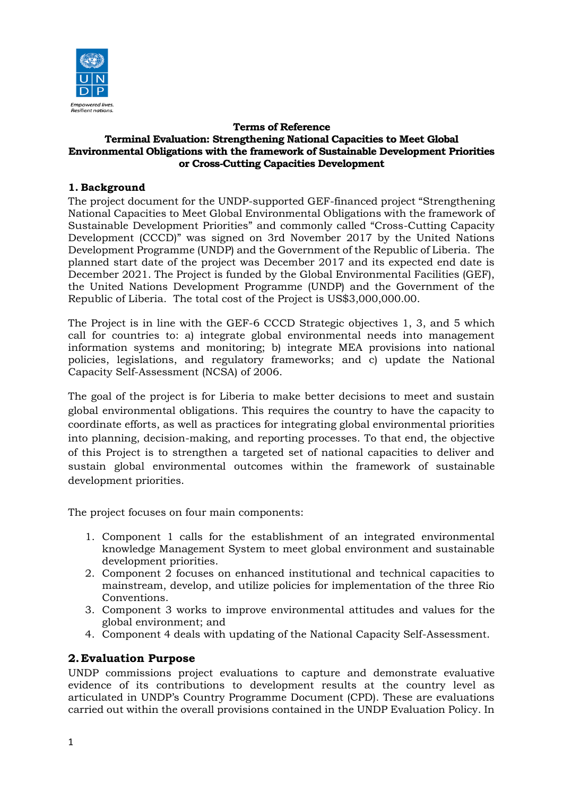

#### **Terms of Reference Terminal Evaluation: Strengthening National Capacities to Meet Global Environmental Obligations with the framework of Sustainable Development Priorities or Cross-Cutting Capacities Development**

## **1. Background**

The project document for the UNDP-supported GEF-financed project "Strengthening National Capacities to Meet Global Environmental Obligations with the framework of Sustainable Development Priorities" and commonly called "Cross-Cutting Capacity Development (CCCD)" was signed on 3rd November 2017 by the United Nations Development Programme (UNDP) and the Government of the Republic of Liberia. The planned start date of the project was December 2017 and its expected end date is December 2021. The Project is funded by the Global Environmental Facilities (GEF), the United Nations Development Programme (UNDP) and the Government of the Republic of Liberia. The total cost of the Project is US\$3,000,000.00.

The Project is in line with the GEF-6 CCCD Strategic objectives 1, 3, and 5 which call for countries to: a) integrate global environmental needs into management information systems and monitoring; b) integrate MEA provisions into national policies, legislations, and regulatory frameworks; and c) update the National Capacity Self-Assessment (NCSA) of 2006.

The goal of the project is for Liberia to make better decisions to meet and sustain global environmental obligations. This requires the country to have the capacity to coordinate efforts, as well as practices for integrating global environmental priorities into planning, decision-making, and reporting processes. To that end, the objective of this Project is to strengthen a targeted set of national capacities to deliver and sustain global environmental outcomes within the framework of sustainable development priorities.

The project focuses on four main components:

- 1. Component 1 calls for the establishment of an integrated environmental knowledge Management System to meet global environment and sustainable development priorities.
- 2. Component 2 focuses on enhanced institutional and technical capacities to mainstream, develop, and utilize policies for implementation of the three Rio Conventions.
- 3. Component 3 works to improve environmental attitudes and values for the global environment; and
- 4. Component 4 deals with updating of the National Capacity Self-Assessment.

## **2.Evaluation Purpose**

UNDP commissions project evaluations to capture and demonstrate evaluative evidence of its contributions to development results at the country level as articulated in UNDP's Country Programme Document (CPD). These are evaluations carried out within the overall provisions contained in the UNDP Evaluation Policy. In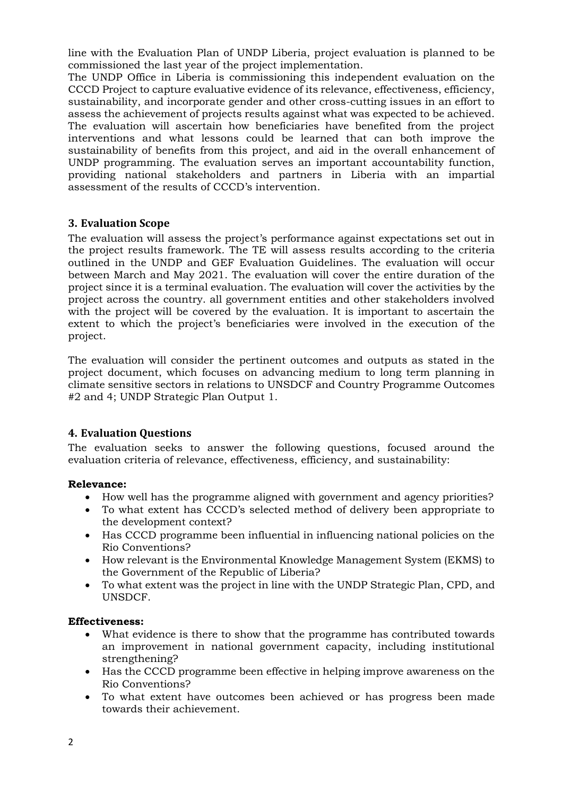line with the Evaluation Plan of UNDP Liberia, project evaluation is planned to be commissioned the last year of the project implementation.

The UNDP Office in Liberia is commissioning this independent evaluation on the CCCD Project to capture evaluative evidence of its relevance, effectiveness, efficiency, sustainability, and incorporate gender and other cross-cutting issues in an effort to assess the achievement of projects results against what was expected to be achieved. The evaluation will ascertain how beneficiaries have benefited from the project interventions and what lessons could be learned that can both improve the sustainability of benefits from this project, and aid in the overall enhancement of UNDP programming. The evaluation serves an important accountability function, providing national stakeholders and partners in Liberia with an impartial assessment of the results of CCCD's intervention.

### **3. Evaluation Scope**

The evaluation will assess the project's performance against expectations set out in the project results framework. The TE will assess results according to the criteria outlined in the UNDP and GEF Evaluation Guidelines. The evaluation will occur between March and May 2021. The evaluation will cover the entire duration of the project since it is a terminal evaluation. The evaluation will cover the activities by the project across the country. all government entities and other stakeholders involved with the project will be covered by the evaluation. It is important to ascertain the extent to which the project's beneficiaries were involved in the execution of the project.

The evaluation will consider the pertinent outcomes and outputs as stated in the project document, which focuses on advancing medium to long term planning in climate sensitive sectors in relations to UNSDCF and Country Programme Outcomes #2 and 4; UNDP Strategic Plan Output 1.

#### **4. Evaluation Questions**

The evaluation seeks to answer the following questions, focused around the evaluation criteria of relevance, effectiveness, efficiency, and sustainability:

#### **Relevance:**

- How well has the programme aligned with government and agency priorities?
- To what extent has CCCD's selected method of delivery been appropriate to the development context?
- Has CCCD programme been influential in influencing national policies on the Rio Conventions?
- How relevant is the Environmental Knowledge Management System (EKMS) to the Government of the Republic of Liberia?
- To what extent was the project in line with the UNDP Strategic Plan, CPD, and UNSDCF.

#### **Effectiveness:**

- What evidence is there to show that the programme has contributed towards an improvement in national government capacity, including institutional strengthening?
- Has the CCCD programme been effective in helping improve awareness on the Rio Conventions?
- To what extent have outcomes been achieved or has progress been made towards their achievement.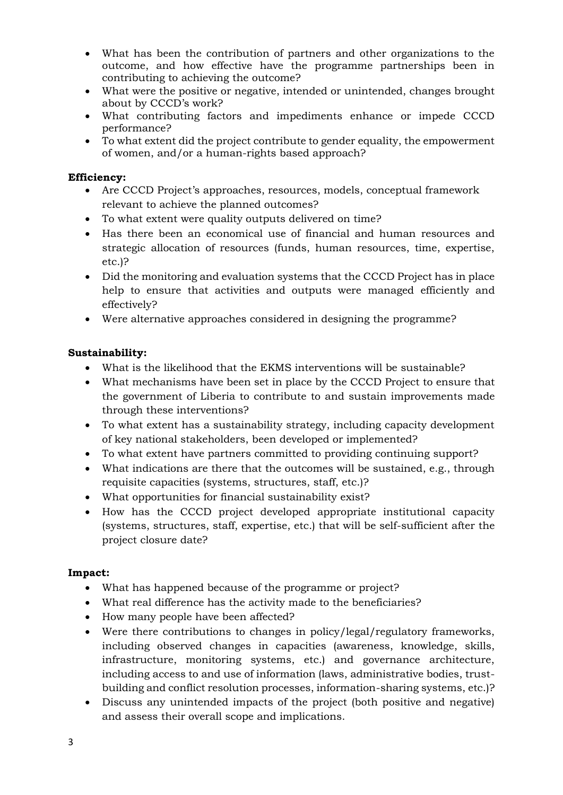- What has been the contribution of partners and other organizations to the outcome, and how effective have the programme partnerships been in contributing to achieving the outcome?
- What were the positive or negative, intended or unintended, changes brought about by CCCD's work?
- What contributing factors and impediments enhance or impede CCCD performance?
- To what extent did the project contribute to gender equality, the empowerment of women, and/or a human-rights based approach?

### **Efficiency:**

- Are CCCD Project's approaches, resources, models, conceptual framework relevant to achieve the planned outcomes?
- To what extent were quality outputs delivered on time?
- Has there been an economical use of financial and human resources and strategic allocation of resources (funds, human resources, time, expertise, etc.)?
- Did the monitoring and evaluation systems that the CCCD Project has in place help to ensure that activities and outputs were managed efficiently and effectively?
- Were alternative approaches considered in designing the programme?

## **Sustainability:**

- What is the likelihood that the EKMS interventions will be sustainable?
- What mechanisms have been set in place by the CCCD Project to ensure that the government of Liberia to contribute to and sustain improvements made through these interventions?
- To what extent has a sustainability strategy, including capacity development of key national stakeholders, been developed or implemented?
- To what extent have partners committed to providing continuing support?
- What indications are there that the outcomes will be sustained, e.g., through requisite capacities (systems, structures, staff, etc.)?
- What opportunities for financial sustainability exist?
- How has the CCCD project developed appropriate institutional capacity (systems, structures, staff, expertise, etc.) that will be self-sufficient after the project closure date?

#### **Impact:**

- What has happened because of the programme or project?
- What real difference has the activity made to the beneficiaries?
- How many people have been affected?
- Were there contributions to changes in policy/legal/regulatory frameworks, including observed changes in capacities (awareness, knowledge, skills, infrastructure, monitoring systems, etc.) and governance architecture, including access to and use of information (laws, administrative bodies, trustbuilding and conflict resolution processes, information-sharing systems, etc.)?
- Discuss any unintended impacts of the project (both positive and negative) and assess their overall scope and implications.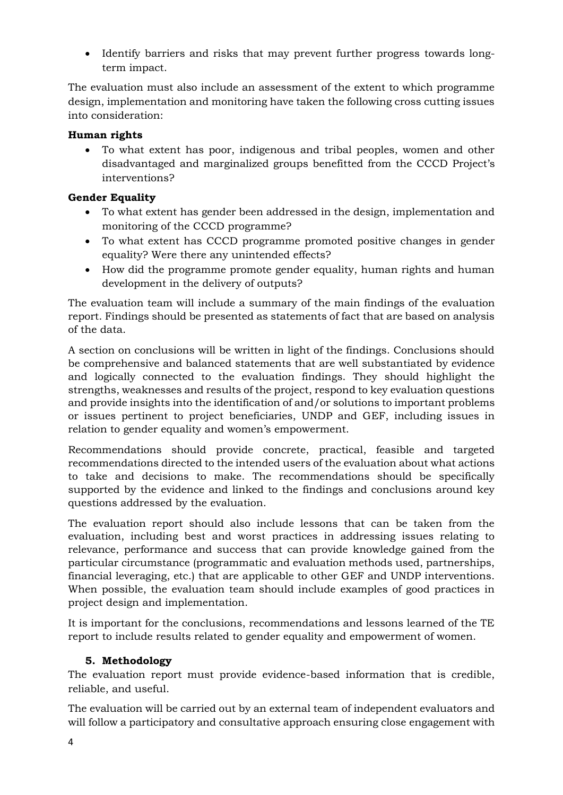• Identify barriers and risks that may prevent further progress towards longterm impact.

The evaluation must also include an assessment of the extent to which programme design, implementation and monitoring have taken the following cross cutting issues into consideration:

## **Human rights**

• To what extent has poor, indigenous and tribal peoples, women and other disadvantaged and marginalized groups benefitted from the CCCD Project's interventions?

## **Gender Equality**

- To what extent has gender been addressed in the design, implementation and monitoring of the CCCD programme?
- To what extent has CCCD programme promoted positive changes in gender equality? Were there any unintended effects?
- How did the programme promote gender equality, human rights and human development in the delivery of outputs?

The evaluation team will include a summary of the main findings of the evaluation report. Findings should be presented as statements of fact that are based on analysis of the data.

A section on conclusions will be written in light of the findings. Conclusions should be comprehensive and balanced statements that are well substantiated by evidence and logically connected to the evaluation findings. They should highlight the strengths, weaknesses and results of the project, respond to key evaluation questions and provide insights into the identification of and/or solutions to important problems or issues pertinent to project beneficiaries, UNDP and GEF, including issues in relation to gender equality and women's empowerment.

Recommendations should provide concrete, practical, feasible and targeted recommendations directed to the intended users of the evaluation about what actions to take and decisions to make. The recommendations should be specifically supported by the evidence and linked to the findings and conclusions around key questions addressed by the evaluation.

The evaluation report should also include lessons that can be taken from the evaluation, including best and worst practices in addressing issues relating to relevance, performance and success that can provide knowledge gained from the particular circumstance (programmatic and evaluation methods used, partnerships, financial leveraging, etc.) that are applicable to other GEF and UNDP interventions. When possible, the evaluation team should include examples of good practices in project design and implementation.

It is important for the conclusions, recommendations and lessons learned of the TE report to include results related to gender equality and empowerment of women.

## **5. Methodology**

The evaluation report must provide evidence-based information that is credible, reliable, and useful.

The evaluation will be carried out by an external team of independent evaluators and will follow a participatory and consultative approach ensuring close engagement with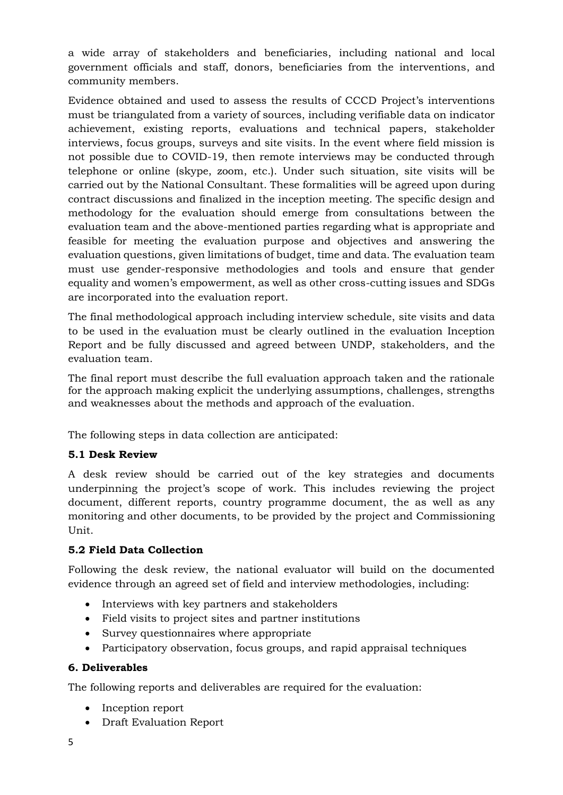a wide array of stakeholders and beneficiaries, including national and local government officials and staff, donors, beneficiaries from the interventions, and community members.

Evidence obtained and used to assess the results of CCCD Project's interventions must be triangulated from a variety of sources, including verifiable data on indicator achievement, existing reports, evaluations and technical papers, stakeholder interviews, focus groups, surveys and site visits. In the event where field mission is not possible due to COVID-19, then remote interviews may be conducted through telephone or online (skype, zoom, etc.). Under such situation, site visits will be carried out by the National Consultant. These formalities will be agreed upon during contract discussions and finalized in the inception meeting. The specific design and methodology for the evaluation should emerge from consultations between the evaluation team and the above-mentioned parties regarding what is appropriate and feasible for meeting the evaluation purpose and objectives and answering the evaluation questions, given limitations of budget, time and data. The evaluation team must use gender-responsive methodologies and tools and ensure that gender equality and women's empowerment, as well as other cross-cutting issues and SDGs are incorporated into the evaluation report.

The final methodological approach including interview schedule, site visits and data to be used in the evaluation must be clearly outlined in the evaluation Inception Report and be fully discussed and agreed between UNDP, stakeholders, and the evaluation team.

The final report must describe the full evaluation approach taken and the rationale for the approach making explicit the underlying assumptions, challenges, strengths and weaknesses about the methods and approach of the evaluation.

The following steps in data collection are anticipated:

## **5.1 Desk Review**

A desk review should be carried out of the key strategies and documents underpinning the project's scope of work. This includes reviewing the project document, different reports, country programme document, the as well as any monitoring and other documents, to be provided by the project and Commissioning Unit.

## **5.2 Field Data Collection**

Following the desk review, the national evaluator will build on the documented evidence through an agreed set of field and interview methodologies, including:

- Interviews with key partners and stakeholders
- Field visits to project sites and partner institutions
- Survey questionnaires where appropriate
- Participatory observation, focus groups, and rapid appraisal techniques

## **6. Deliverables**

The following reports and deliverables are required for the evaluation:

- Inception report
- Draft Evaluation Report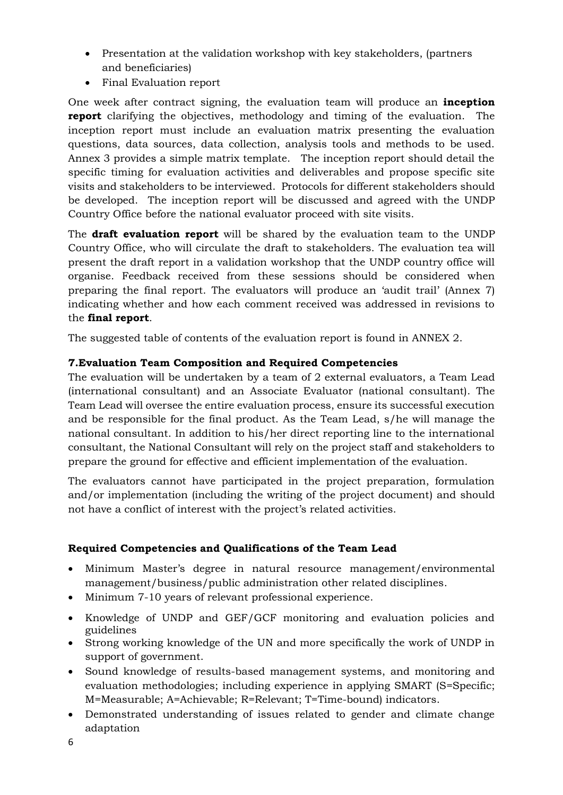- Presentation at the validation workshop with key stakeholders, (partners and beneficiaries)
- Final Evaluation report

One week after contract signing, the evaluation team will produce an **inception report** clarifying the objectives, methodology and timing of the evaluation. The inception report must include an evaluation matrix presenting the evaluation questions, data sources, data collection, analysis tools and methods to be used. Annex 3 provides a simple matrix template. The inception report should detail the specific timing for evaluation activities and deliverables and propose specific site visits and stakeholders to be interviewed. Protocols for different stakeholders should be developed. The inception report will be discussed and agreed with the UNDP Country Office before the national evaluator proceed with site visits.

The **draft evaluation report** will be shared by the evaluation team to the UNDP Country Office, who will circulate the draft to stakeholders. The evaluation tea will present the draft report in a validation workshop that the UNDP country office will organise. Feedback received from these sessions should be considered when preparing the final report. The evaluators will produce an 'audit trail' (Annex 7) indicating whether and how each comment received was addressed in revisions to the **final report**.

The suggested table of contents of the evaluation report is found in ANNEX 2.

## **7.Evaluation Team Composition and Required Competencies**

The evaluation will be undertaken by a team of 2 external evaluators, a Team Lead (international consultant) and an Associate Evaluator (national consultant). The Team Lead will oversee the entire evaluation process, ensure its successful execution and be responsible for the final product. As the Team Lead, s/he will manage the national consultant. In addition to his/her direct reporting line to the international consultant, the National Consultant will rely on the project staff and stakeholders to prepare the ground for effective and efficient implementation of the evaluation.

The evaluators cannot have participated in the project preparation, formulation and/or implementation (including the writing of the project document) and should not have a conflict of interest with the project's related activities.

## **Required Competencies and Qualifications of the Team Lead**

- Minimum Master's degree in natural resource management/environmental management/business/public administration other related disciplines.
- Minimum 7-10 years of relevant professional experience.
- Knowledge of UNDP and GEF/GCF monitoring and evaluation policies and guidelines
- Strong working knowledge of the UN and more specifically the work of UNDP in support of government.
- Sound knowledge of results-based management systems, and monitoring and evaluation methodologies; including experience in applying SMART (S=Specific; M=Measurable; A=Achievable; R=Relevant; T=Time-bound) indicators.
- Demonstrated understanding of issues related to gender and climate change adaptation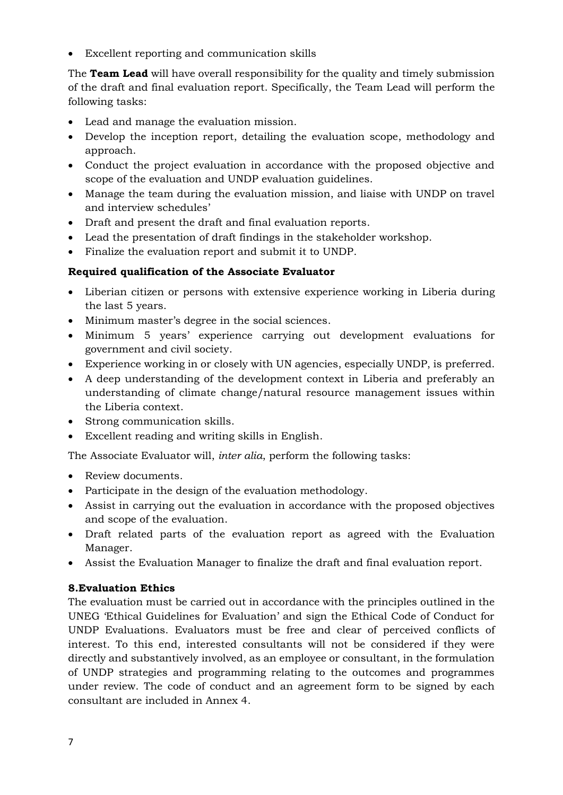• Excellent reporting and communication skills

The **Team Lead** will have overall responsibility for the quality and timely submission of the draft and final evaluation report. Specifically, the Team Lead will perform the following tasks:

- Lead and manage the evaluation mission.
- Develop the inception report, detailing the evaluation scope, methodology and approach.
- Conduct the project evaluation in accordance with the proposed objective and scope of the evaluation and UNDP evaluation guidelines.
- Manage the team during the evaluation mission, and liaise with UNDP on travel and interview schedules'
- Draft and present the draft and final evaluation reports.
- Lead the presentation of draft findings in the stakeholder workshop.
- Finalize the evaluation report and submit it to UNDP.

## **Required qualification of the Associate Evaluator**

- Liberian citizen or persons with extensive experience working in Liberia during the last 5 years.
- Minimum master's degree in the social sciences.
- Minimum 5 years' experience carrying out development evaluations for government and civil society.
- Experience working in or closely with UN agencies, especially UNDP, is preferred.
- A deep understanding of the development context in Liberia and preferably an understanding of climate change/natural resource management issues within the Liberia context.
- Strong communication skills.
- Excellent reading and writing skills in English.

The Associate Evaluator will, *inter alia*, perform the following tasks:

- Review documents.
- Participate in the design of the evaluation methodology.
- Assist in carrying out the evaluation in accordance with the proposed objectives and scope of the evaluation.
- Draft related parts of the evaluation report as agreed with the Evaluation Manager.
- Assist the Evaluation Manager to finalize the draft and final evaluation report.

## **8.Evaluation Ethics**

The evaluation must be carried out in accordance with the principles outlined in the UNEG 'Ethical Guidelines for Evaluation' and sign the Ethical Code of Conduct for UNDP Evaluations. Evaluators must be free and clear of perceived conflicts of interest. To this end, interested consultants will not be considered if they were directly and substantively involved, as an employee or consultant, in the formulation of UNDP strategies and programming relating to the outcomes and programmes under review. The code of conduct and an agreement form to be signed by each consultant are included in Annex 4.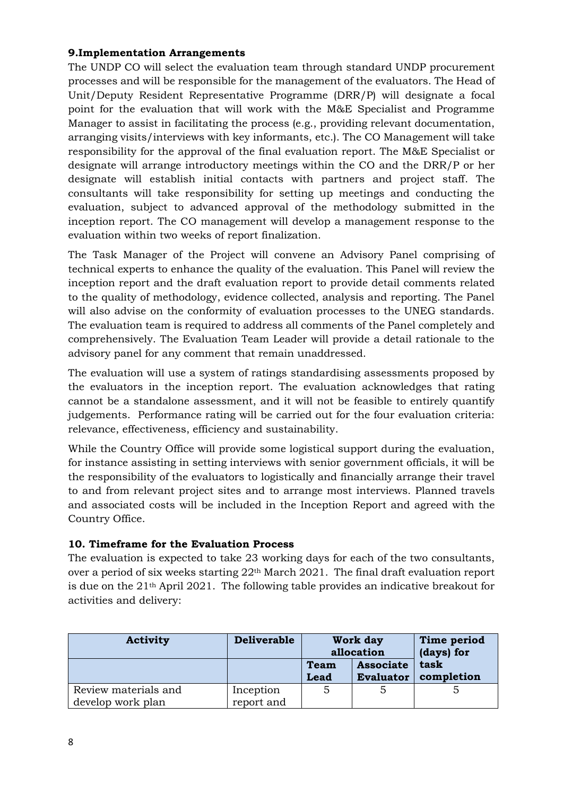## **9.Implementation Arrangements**

The UNDP CO will select the evaluation team through standard UNDP procurement processes and will be responsible for the management of the evaluators. The Head of Unit/Deputy Resident Representative Programme (DRR/P) will designate a focal point for the evaluation that will work with the M&E Specialist and Programme Manager to assist in facilitating the process (e.g., providing relevant documentation, arranging visits/interviews with key informants, etc.). The CO Management will take responsibility for the approval of the final evaluation report. The M&E Specialist or designate will arrange introductory meetings within the CO and the DRR/P or her designate will establish initial contacts with partners and project staff. The consultants will take responsibility for setting up meetings and conducting the evaluation, subject to advanced approval of the methodology submitted in the inception report. The CO management will develop a management response to the evaluation within two weeks of report finalization.

The Task Manager of the Project will convene an Advisory Panel comprising of technical experts to enhance the quality of the evaluation. This Panel will review the inception report and the draft evaluation report to provide detail comments related to the quality of methodology, evidence collected, analysis and reporting. The Panel will also advise on the conformity of evaluation processes to the UNEG standards. The evaluation team is required to address all comments of the Panel completely and comprehensively. The Evaluation Team Leader will provide a detail rationale to the advisory panel for any comment that remain unaddressed.

The evaluation will use a system of ratings standardising assessments proposed by the evaluators in the inception report. The evaluation acknowledges that rating cannot be a standalone assessment, and it will not be feasible to entirely quantify judgements. Performance rating will be carried out for the four evaluation criteria: relevance, effectiveness, efficiency and sustainability.

While the Country Office will provide some logistical support during the evaluation, for instance assisting in setting interviews with senior government officials, it will be the responsibility of the evaluators to logistically and financially arrange their travel to and from relevant project sites and to arrange most interviews. Planned travels and associated costs will be included in the Inception Report and agreed with the Country Office.

## **10. Timeframe for the Evaluation Process**

The evaluation is expected to take 23 working days for each of the two consultants, over a period of six weeks starting 22<sup>th</sup> March 2021. The final draft evaluation report is due on the 21th April 2021. The following table provides an indicative breakout for activities and delivery:

| <b>Activity</b>                           | <b>Deliverable</b>      | Work day<br>allocation     |                                      | Time period<br>(days) for |
|-------------------------------------------|-------------------------|----------------------------|--------------------------------------|---------------------------|
|                                           |                         | <b>Team</b><br><b>Lead</b> | <b>Associate</b><br><b>Evaluator</b> | task<br>completion        |
| Review materials and<br>develop work plan | Inception<br>report and |                            |                                      |                           |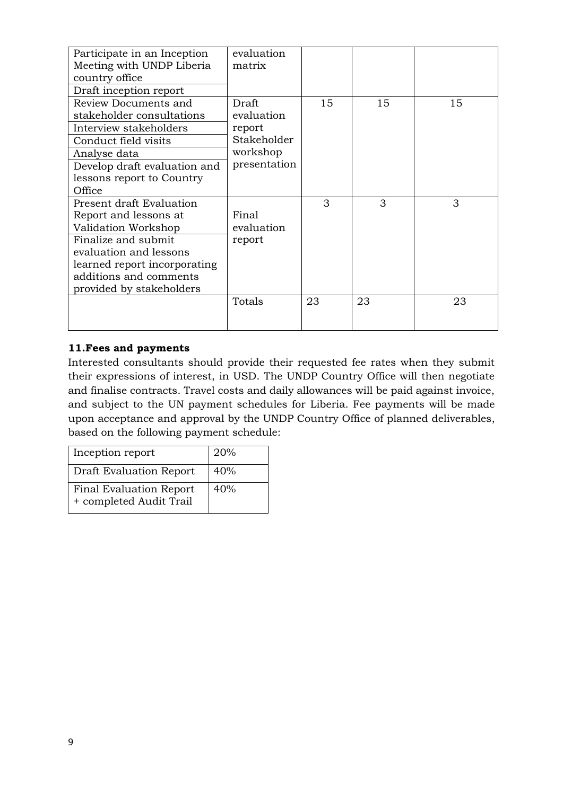| Participate in an Inception<br>Meeting with UNDP Liberia<br>country office<br>Draft inception report                                                                                                            | evaluation<br>matrix                                                     |    |    |    |
|-----------------------------------------------------------------------------------------------------------------------------------------------------------------------------------------------------------------|--------------------------------------------------------------------------|----|----|----|
| Review Documents and<br>stakeholder consultations<br>Interview stakeholders<br>Conduct field visits<br>Analyse data<br>Develop draft evaluation and<br>lessons report to Country<br>Office                      | Draft<br>evaluation<br>report<br>Stakeholder<br>workshop<br>presentation | 15 | 15 | 15 |
| Present draft Evaluation<br>Report and lessons at<br>Validation Workshop<br>Finalize and submit<br>evaluation and lessons<br>learned report incorporating<br>additions and comments<br>provided by stakeholders | Final<br>evaluation<br>report                                            | 3  | 3  | 3  |
|                                                                                                                                                                                                                 | Totals                                                                   | 23 | 23 | 23 |

## **11.Fees and payments**

Interested consultants should provide their requested fee rates when they submit their expressions of interest, in USD. The UNDP Country Office will then negotiate and finalise contracts. Travel costs and daily allowances will be paid against invoice, and subject to the UN payment schedules for Liberia. Fee payments will be made upon acceptance and approval by the UNDP Country Office of planned deliverables, based on the following payment schedule:

| Inception report                                          | 20% |
|-----------------------------------------------------------|-----|
| <b>Draft Evaluation Report</b>                            | 40% |
| <b>Final Evaluation Report</b><br>+ completed Audit Trail | 40% |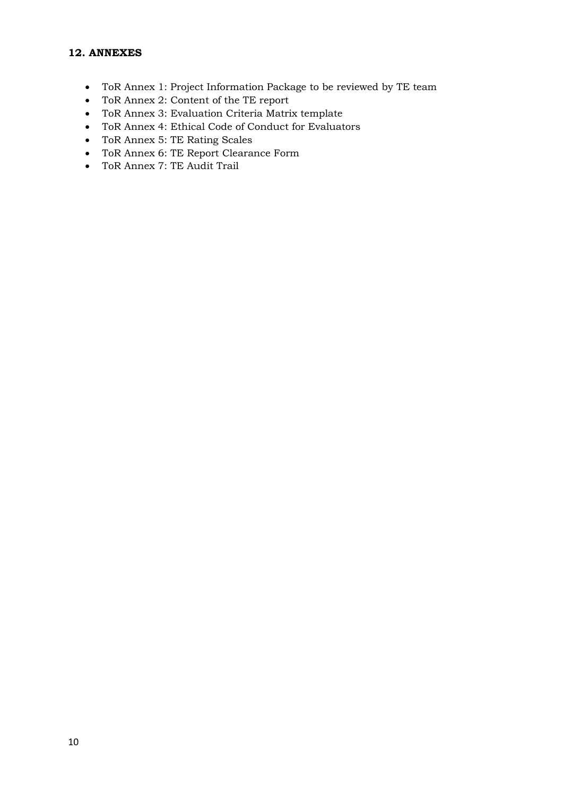#### **12. ANNEXES**

- ToR Annex 1: Project Information Package to be reviewed by TE team
- ToR Annex 2: Content of the TE report
- ToR Annex 3: Evaluation Criteria Matrix template
- ToR Annex 4: Ethical Code of Conduct for Evaluators
- ToR Annex 5: TE Rating Scales
- ToR Annex 6: TE Report Clearance Form
- ToR Annex 7: TE Audit Trail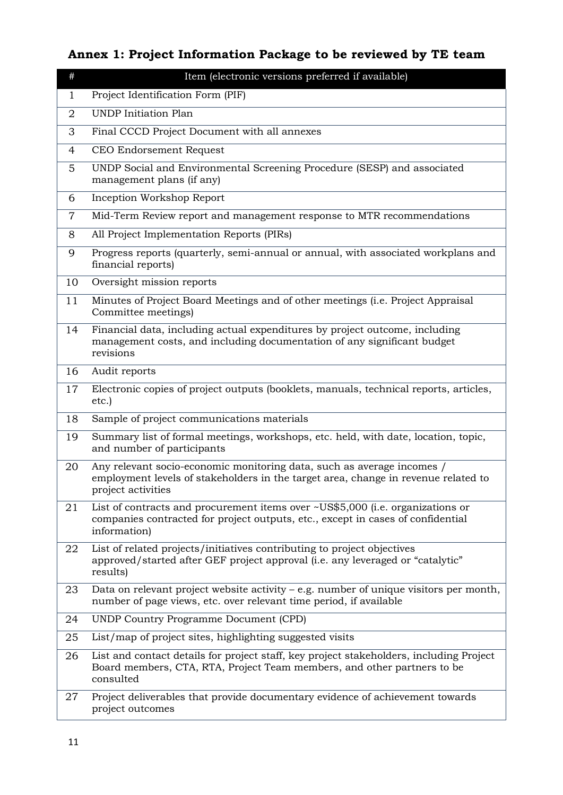# **Annex 1: Project Information Package to be reviewed by TE team**

| $\#$ | Item (electronic versions preferred if available)                                                                                                                                  |
|------|------------------------------------------------------------------------------------------------------------------------------------------------------------------------------------|
| 1    | Project Identification Form (PIF)                                                                                                                                                  |
| 2    | <b>UNDP</b> Initiation Plan                                                                                                                                                        |
| 3    | Final CCCD Project Document with all annexes                                                                                                                                       |
| 4    | CEO Endorsement Request                                                                                                                                                            |
| 5    | UNDP Social and Environmental Screening Procedure (SESP) and associated<br>management plans (if any)                                                                               |
| 6    | Inception Workshop Report                                                                                                                                                          |
| 7    | Mid-Term Review report and management response to MTR recommendations                                                                                                              |
| 8    | All Project Implementation Reports (PIRs)                                                                                                                                          |
| 9    | Progress reports (quarterly, semi-annual or annual, with associated workplans and<br>financial reports)                                                                            |
| 10   | Oversight mission reports                                                                                                                                                          |
| 11   | Minutes of Project Board Meetings and of other meetings (i.e. Project Appraisal<br>Committee meetings)                                                                             |
| 14   | Financial data, including actual expenditures by project outcome, including<br>management costs, and including documentation of any significant budget<br>revisions                |
| 16   | Audit reports                                                                                                                                                                      |
| 17   | Electronic copies of project outputs (booklets, manuals, technical reports, articles,<br>etc.)                                                                                     |
| 18   | Sample of project communications materials                                                                                                                                         |
| 19   | Summary list of formal meetings, workshops, etc. held, with date, location, topic,<br>and number of participants                                                                   |
| 20   | Any relevant socio-economic monitoring data, such as average incomes /<br>employment levels of stakeholders in the target area, change in revenue related to<br>project activities |
| 21   | List of contracts and procurement items over ~US\$5,000 (i.e. organizations or<br>companies contracted for project outputs, etc., except in cases of confidential<br>information)  |
| 22   | List of related projects/initiatives contributing to project objectives<br>approved/started after GEF project approval (i.e. any leveraged or "catalytic"<br>results)              |
| 23   | Data on relevant project website activity $-$ e.g. number of unique visitors per month,<br>number of page views, etc. over relevant time period, if available                      |
| 24   | <b>UNDP Country Programme Document (CPD)</b>                                                                                                                                       |
| 25   | List/map of project sites, highlighting suggested visits                                                                                                                           |
| 26   | List and contact details for project staff, key project stakeholders, including Project<br>Board members, CTA, RTA, Project Team members, and other partners to be<br>consulted    |
| 27   | Project deliverables that provide documentary evidence of achievement towards<br>project outcomes                                                                                  |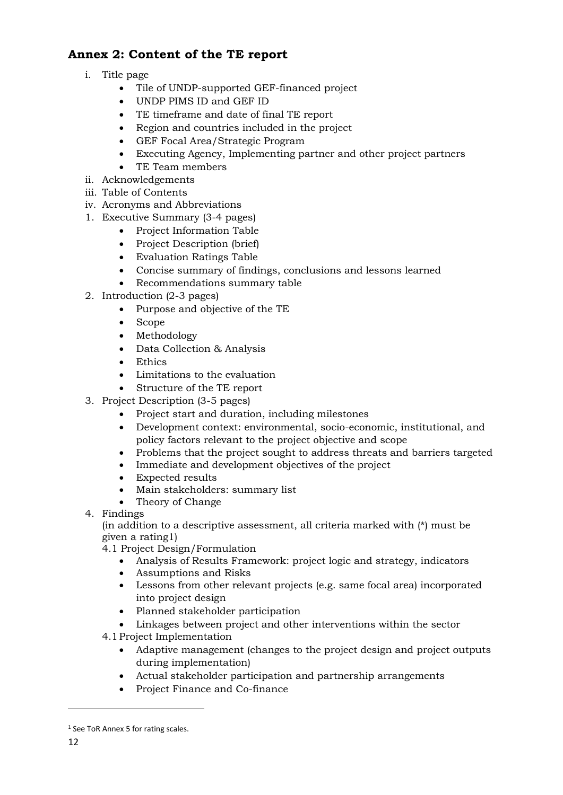## **Annex 2: Content of the TE report**

- i. Title page
	- Tile of UNDP-supported GEF-financed project
	- UNDP PIMS ID and GEF ID
	- TE timeframe and date of final TE report
	- Region and countries included in the project
	- GEF Focal Area/Strategic Program
	- Executing Agency, Implementing partner and other project partners
	- TE Team members
- ii. Acknowledgements
- iii. Table of Contents
- iv. Acronyms and Abbreviations
- 1. Executive Summary (3-4 pages)
	- Project Information Table
	- Project Description (brief)
	- Evaluation Ratings Table
	- Concise summary of findings, conclusions and lessons learned
	- Recommendations summary table
- 2. Introduction (2-3 pages)
	- Purpose and objective of the TE
		- Scope
		- Methodology
		- Data Collection & Analysis
		- Ethics
		- Limitations to the evaluation
		- Structure of the TE report
- 3. Project Description (3-5 pages)
	- Project start and duration, including milestones
	- Development context: environmental, socio-economic, institutional, and policy factors relevant to the project objective and scope
	- Problems that the project sought to address threats and barriers targeted
	- Immediate and development objectives of the project
	- Expected results
	- Main stakeholders: summary list
	- Theory of Change
- 4. Findings

(in addition to a descriptive assessment, all criteria marked with (\*) must be given a rating1)

- 4.1 Project Design/Formulation
	- Analysis of Results Framework: project logic and strategy, indicators
	- Assumptions and Risks
	- Lessons from other relevant projects (e.g. same focal area) incorporated into project design
	- Planned stakeholder participation
	- Linkages between project and other interventions within the sector
- 4.1Project Implementation
	- Adaptive management (changes to the project design and project outputs during implementation)
	- Actual stakeholder participation and partnership arrangements
	- Project Finance and Co-finance

<sup>&</sup>lt;sup>1</sup> See ToR Annex 5 for rating scales.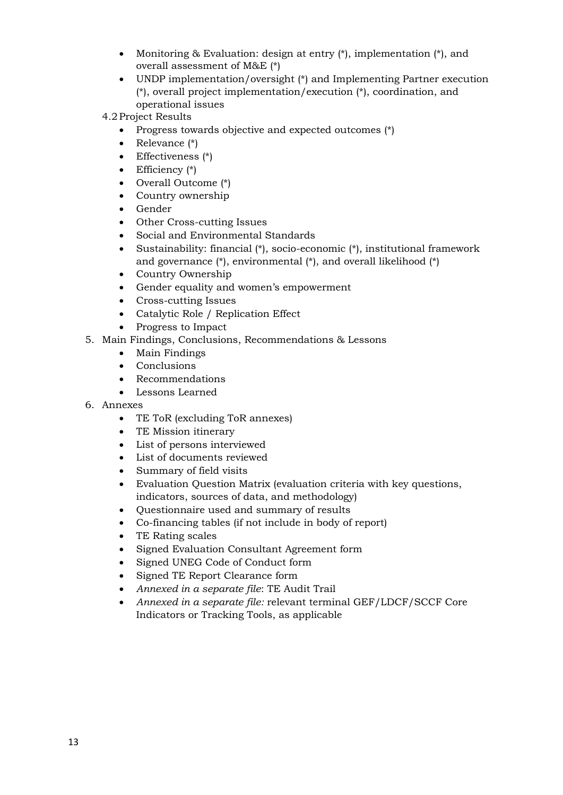- Monitoring & Evaluation: design at entry  $(*)$ , implementation  $(*)$ , and overall assessment of M&E (\*)
- UNDP implementation/oversight (\*) and Implementing Partner execution (\*), overall project implementation/execution (\*), coordination, and operational issues
- 4.2Project Results
	- Progress towards objective and expected outcomes  $(*)$
	- Relevance (\*)
	- Effectiveness (\*)
	- Efficiency  $(*)$
	- Overall Outcome (\*)
	- Country ownership
	- Gender
	- Other Cross-cutting Issues
	- Social and Environmental Standards
	- Sustainability: financial (\*), socio-economic (\*), institutional framework and governance (\*), environmental (\*), and overall likelihood (\*)
	- Country Ownership
	- Gender equality and women's empowerment
	- Cross-cutting Issues
	- Catalytic Role / Replication Effect
	- Progress to Impact
- 5. Main Findings, Conclusions, Recommendations & Lessons
	- Main Findings
	- Conclusions
	- Recommendations
	- Lessons Learned
- 6. Annexes
	- TE ToR (excluding ToR annexes)
	- TE Mission itinerary
	- List of persons interviewed
	- List of documents reviewed
	- Summary of field visits
	- Evaluation Question Matrix (evaluation criteria with key questions, indicators, sources of data, and methodology)
	- Questionnaire used and summary of results
	- Co-financing tables (if not include in body of report)
	- TE Rating scales
	- Signed Evaluation Consultant Agreement form
	- Signed UNEG Code of Conduct form
	- Signed TE Report Clearance form
	- *Annexed in a separate file*: TE Audit Trail
	- *Annexed in a separate file:* relevant terminal GEF/LDCF/SCCF Core Indicators or Tracking Tools, as applicable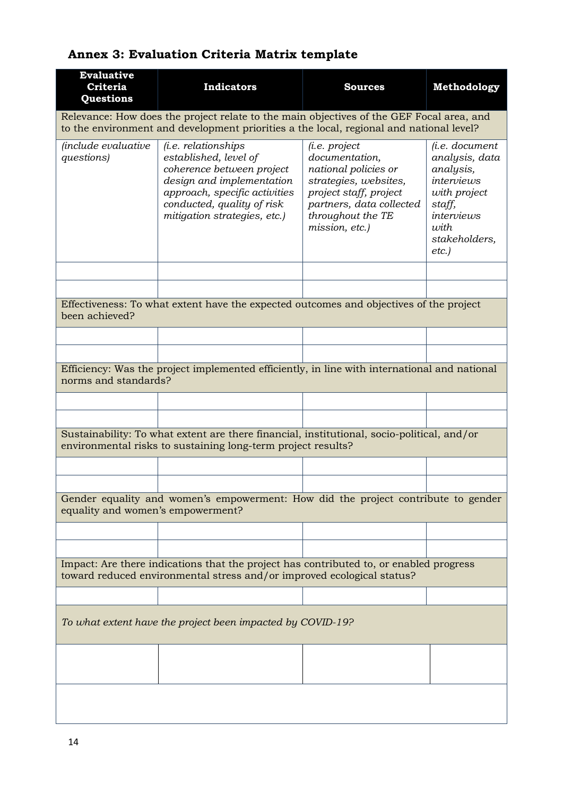## **Evaluative Criteria Questions Indicators Sources Methodology** Relevance: How does the project relate to the main objectives of the GEF Focal area, and to the environment and development priorities a the local, regional and national level? *(include evaluative questions) (i.e. relationships established, level of coherence between project design and implementation approach, specific activities conducted, quality of risk mitigation strategies, etc.) (i.e. project documentation, national policies or strategies, websites, project staff, project partners, data collected throughout the TE mission, etc.) (i.e. document analysis, data analysis, interviews with project staff, interviews with stakeholders, etc.)* Effectiveness: To what extent have the expected outcomes and objectives of the project been achieved? Efficiency: Was the project implemented efficiently, in line with international and national norms and standards? Sustainability: To what extent are there financial, institutional, socio-political, and/or environmental risks to sustaining long-term project results? Gender equality and women's empowerment: How did the project contribute to gender equality and women's empowerment? Impact: Are there indications that the project has contributed to, or enabled progress toward reduced environmental stress and/or improved ecological status? *To what extent have the project been impacted by COVID-19?*

## **Annex 3: Evaluation Criteria Matrix template**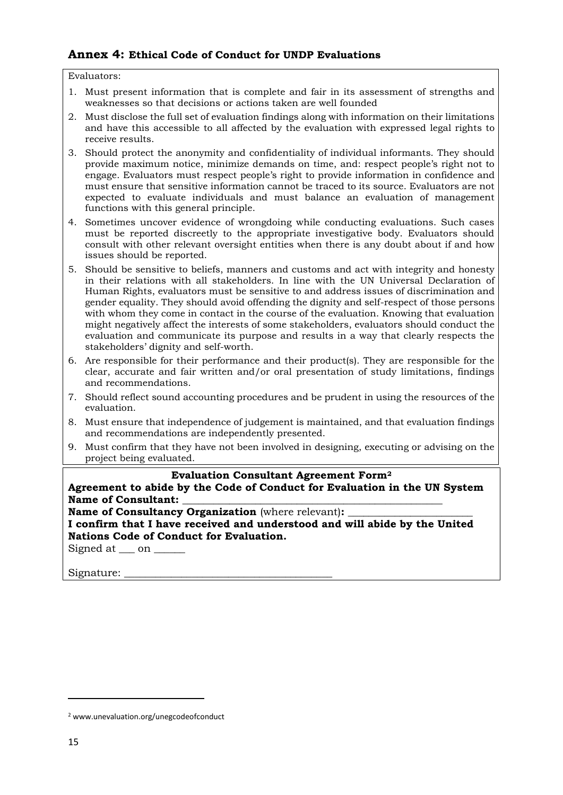## **Annex 4: Ethical Code of Conduct for UNDP Evaluations**

Evaluators:

- 1. Must present information that is complete and fair in its assessment of strengths and weaknesses so that decisions or actions taken are well founded
- 2. Must disclose the full set of evaluation findings along with information on their limitations and have this accessible to all affected by the evaluation with expressed legal rights to receive results.
- 3. Should protect the anonymity and confidentiality of individual informants. They should provide maximum notice, minimize demands on time, and: respect people's right not to engage. Evaluators must respect people's right to provide information in confidence and must ensure that sensitive information cannot be traced to its source. Evaluators are not expected to evaluate individuals and must balance an evaluation of management functions with this general principle.
- 4. Sometimes uncover evidence of wrongdoing while conducting evaluations. Such cases must be reported discreetly to the appropriate investigative body. Evaluators should consult with other relevant oversight entities when there is any doubt about if and how issues should be reported.
- 5. Should be sensitive to beliefs, manners and customs and act with integrity and honesty in their relations with all stakeholders. In line with the UN Universal Declaration of Human Rights, evaluators must be sensitive to and address issues of discrimination and gender equality. They should avoid offending the dignity and self-respect of those persons with whom they come in contact in the course of the evaluation. Knowing that evaluation might negatively affect the interests of some stakeholders, evaluators should conduct the evaluation and communicate its purpose and results in a way that clearly respects the stakeholders' dignity and self-worth.
- 6. Are responsible for their performance and their product(s). They are responsible for the clear, accurate and fair written and/or oral presentation of study limitations, findings and recommendations.
- 7. Should reflect sound accounting procedures and be prudent in using the resources of the evaluation.
- 8. Must ensure that independence of judgement is maintained, and that evaluation findings and recommendations are independently presented.
- 9. Must confirm that they have not been involved in designing, executing or advising on the project being evaluated.

#### **Evaluation Consultant Agreement Form<sup>2</sup>**

**Agreement to abide by the Code of Conduct for Evaluation in the UN System**  Name of Consultant:

**Name of Consultancy Organization** (where relevant):

**I confirm that I have received and understood and will abide by the United Nations Code of Conduct for Evaluation.** 

Signed at <u>on</u> on

Signature:

<sup>2</sup> www.unevaluation.org/unegcodeofconduct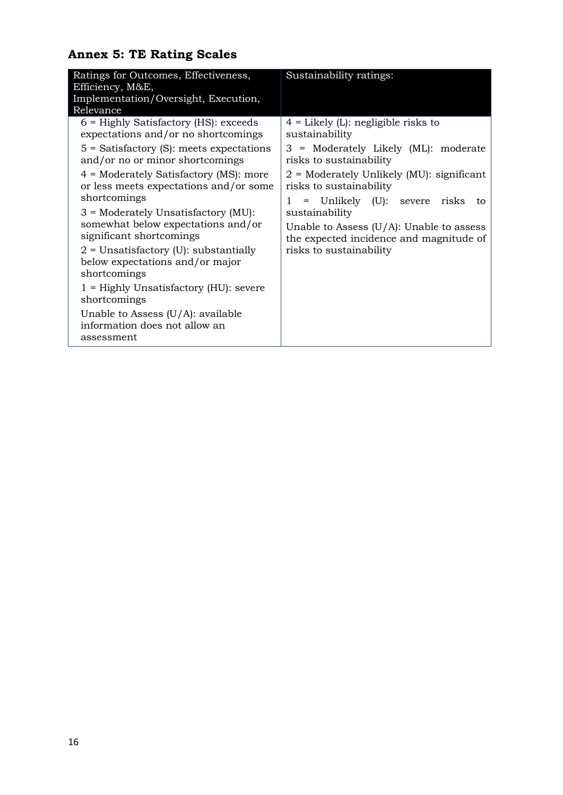# **Annex 5: TE Rating Scales**

| Ratings for Outcomes, Effectiveness,<br>Efficiency, M&E,<br>Implementation/Oversight, Execution,<br>Relevance                                                                                                                                                                                                                                                                                                                                                                                                                                                                                                                     | Sustainability ratings:                                                                                                                                                                                                                                                                                                                                                                           |
|-----------------------------------------------------------------------------------------------------------------------------------------------------------------------------------------------------------------------------------------------------------------------------------------------------------------------------------------------------------------------------------------------------------------------------------------------------------------------------------------------------------------------------------------------------------------------------------------------------------------------------------|---------------------------------------------------------------------------------------------------------------------------------------------------------------------------------------------------------------------------------------------------------------------------------------------------------------------------------------------------------------------------------------------------|
| $6$ = Highly Satisfactory (HS): exceeds<br>expectations and/or no shortcomings<br>$5$ = Satisfactory (S): meets expectations<br>and/or no or minor shortcomings<br>$4$ = Moderately Satisfactory (MS): more<br>or less meets expectations and/or some<br>shortcomings<br>$3$ = Moderately Unsatisfactory (MU):<br>somewhat below expectations and/or<br>significant shortcomings<br>$2$ = Unsatisfactory (U): substantially<br>below expectations and/or major<br>shortcomings<br>$1$ = Highly Unsatisfactory (HU): severe<br>shortcomings<br>Unable to Assess $(U/A)$ : available<br>information does not allow an<br>assessment | $4$ = Likely (L): negligible risks to<br>sustainability<br>3 = Moderately Likely (ML): moderate<br>risks to sustainability<br>$2$ = Moderately Unlikely (MU): significant<br>risks to sustainability<br>= Unlikely (U): severe risks<br>$\mathbf{1}$<br>to<br>sustainability<br>Unable to Assess $(U/A)$ : Unable to assess<br>the expected incidence and magnitude of<br>risks to sustainability |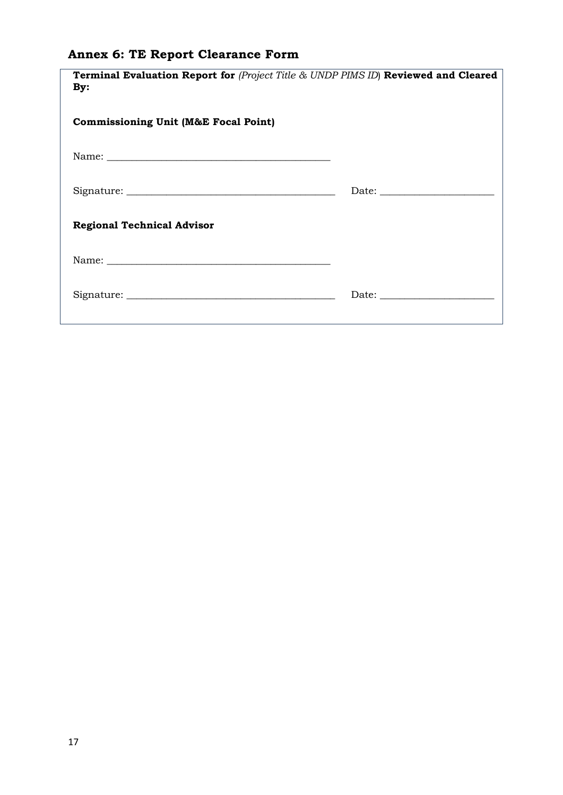# **Annex 6: TE Report Clearance Form**

| <b>Terminal Evaluation Report for (Project Title &amp; UNDP PIMS ID) Reviewed and Cleared</b><br>By: |  |
|------------------------------------------------------------------------------------------------------|--|
| <b>Commissioning Unit (M&amp;E Focal Point)</b>                                                      |  |
|                                                                                                      |  |
|                                                                                                      |  |
| <b>Regional Technical Advisor</b>                                                                    |  |
|                                                                                                      |  |
|                                                                                                      |  |